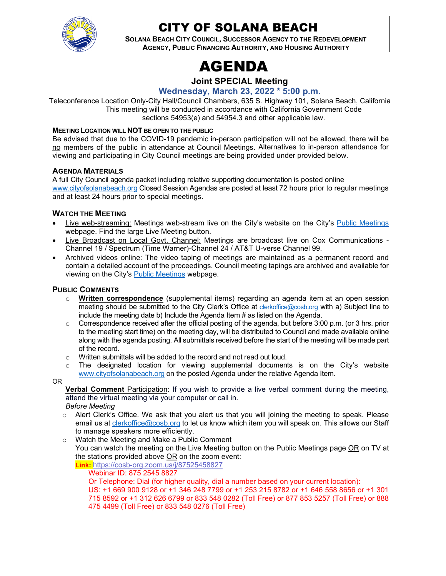

## CITY OF SOLANA BEACH

**SOLANA BEACH CITY COUNCIL, SUCCESSOR AGENCY TO THE REDEVELOPMENT AGENCY, PUBLIC FINANCING AUTHORITY, AND HOUSING AUTHORITY** 

## AGENDA

## **Joint SPECIAL Meeting**

**Wednesday, March 23, 2022 \* 5:00 p.m.**

Teleconference Location Only-City Hall/Council Chambers, 635 S. Highway 101, Solana Beach, California This meeting will be conducted in accordance with California Government Code sections 54953(e) and 54954.3 and other applicable law.

#### **MEETING LOCATION WILL NOT BE OPEN TO THE PUBLIC**

Be advised that due to the COVID-19 pandemic in-person participation will not be allowed, there will be no members of the public in attendance at Council Meetings. Alternatives to in-person attendance for viewing and participating in City Council meetings are being provided under provided below.

#### **AGENDA MATERIALS**

A full City Council agenda packet including relative supporting documentation is posted online www.cityofsolanabeach.org Closed Session Agendas are posted at least 72 hours prior to regular meetings and at least 24 hours prior to special meetings.

#### **WATCH THE MEETING**

- Live web-streaming: Meetings web-stream live on the City's website on the City's Public Meetings webpage. Find the large Live Meeting button.
- Live Broadcast on Local Govt. Channel: Meetings are broadcast live on Cox Communications Channel 19 / Spectrum (Time Warner)-Channel 24 / AT&T U-verse Channel 99.
- Archived videos online: The video taping of meetings are maintained as a permanent record and contain a detailed account of the proceedings. Council meeting tapings are archived and available for viewing on the City's **Public Meetings** webpage.

#### **PUBLIC COMMENTS**

- o **Written correspondence** (supplemental items) regarding an agenda item at an open session meeting should be submitted to the City Clerk's Office at clerkoffice@cosb.org with a) Subject line to include the meeting date b) Include the Agenda Item # as listed on the Agenda.
- $\circ$  Correspondence received after the official posting of the agenda, but before 3:00 p.m. (or 3 hrs. prior to the meeting start time) on the meeting day, will be distributed to Council and made available online along with the agenda posting. All submittals received before the start of the meeting will be made part of the record.
- o Written submittals will be added to the record and not read out loud.
- $\circ$  The designated location for viewing supplemental documents is on the City's website www.cityofsolanabeach.org on the posted Agenda under the relative Agenda Item.

#### OR

**Verbal Comment** Participation: If you wish to provide a live verbal comment during the meeting, attend the virtual meeting via your computer or call in.

- *Before Meeting*
- $\circ$  Alert Clerk's Office. We ask that you alert us that you will joining the meeting to speak. Please email us at clerkoffice@cosb.org to let us know which item you will speak on. This allows our Staff to manage speakers more efficiently.
- o Watch the Meeting and Make a Public Comment You can watch the meeting on the Live Meeting button on the Public Meetings page OR on TV at the stations provided above OR on the zoom event: **Link:** https://cosb-org.zoom.us/j/87525458827

#### Webinar ID: 875 2545 8827

Or Telephone: Dial (for higher quality, dial a number based on your current location):

US: +1 669 900 9128 or +1 346 248 7799 or +1 253 215 8782 or +1 646 558 8656 or +1 301 715 8592 or +1 312 626 6799 or 833 548 0282 (Toll Free) or 877 853 5257 (Toll Free) or 888 475 4499 (Toll Free) or 833 548 0276 (Toll Free)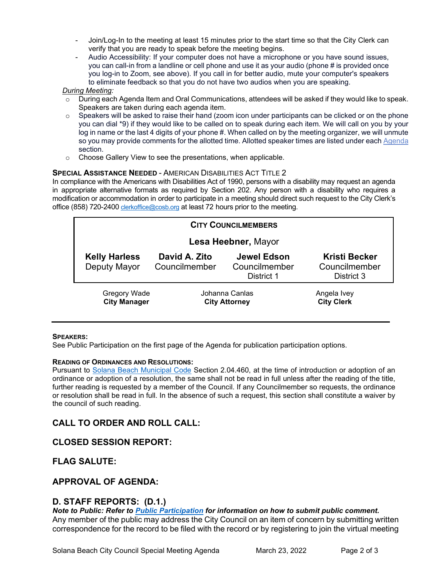- Join/Log-In to the meeting at least 15 minutes prior to the start time so that the City Clerk can verify that you are ready to speak before the meeting begins.
- Audio Accessibility: If your computer does not have a microphone or you have sound issues, you can call-in from a landline or cell phone and use it as your audio (phone # is provided once you log-in to Zoom, see above). If you call in for better audio, mute your computer's speakers to eliminate feedback so that you do not have two audios when you are speaking.

#### *During Meeting:*

- $\circ$  During each Agenda Item and Oral Communications, attendees will be asked if they would like to speak. Speakers are taken during each agenda item.
- o Speakers will be asked to raise their hand (zoom icon under participants can be clicked or on the phone you can dial \*9) if they would like to be called on to speak during each item. We will call on you by your log in name or the last 4 digits of your phone #. When called on by the meeting organizer, we will unmute so you may provide comments for the allotted time. Allotted speaker times are listed under each Agenda section.
- o Choose Gallery View to see the presentations, when applicable.

#### **SPECIAL ASSISTANCE NEEDED** - AMERICAN DISABILITIES ACT TITLE 2

In compliance with the Americans with Disabilities Act of 1990, persons with a disability may request an agenda in appropriate alternative formats as required by Section 202. Any person with a disability who requires a modification or accommodation in order to participate in a meeting should direct such request to the City Clerk's office (858) 720-2400 clerkoffice@cosb.org at least 72 hours prior to the meeting.

|                     | <b>CITY COUNCILMEMBERS</b>                 |                                        |                                                   |                                                     |  |
|---------------------|--------------------------------------------|----------------------------------------|---------------------------------------------------|-----------------------------------------------------|--|
| Lesa Heebner, Mayor |                                            |                                        |                                                   |                                                     |  |
|                     | <b>Kelly Harless</b><br>Deputy Mayor       | David A. Zito<br>Councilmember         | <b>Jewel Edson</b><br>Councilmember<br>District 1 | <b>Kristi Becker</b><br>Councilmember<br>District 3 |  |
|                     | <b>Gregory Wade</b><br><b>City Manager</b> | Johanna Canlas<br><b>City Attorney</b> |                                                   | Angela Ivey<br><b>City Clerk</b>                    |  |

#### **SPEAKERS:**

See Public Participation on the first page of the Agenda for publication participation options.

#### **READING OF ORDINANCES AND RESOLUTIONS:**

Pursuant to Solana Beach Municipal Code Section 2.04.460, at the time of introduction or adoption of an ordinance or adoption of a resolution, the same shall not be read in full unless after the reading of the title, further reading is requested by a member of the Council. If any Councilmember so requests, the ordinance or resolution shall be read in full. In the absence of such a request, this section shall constitute a waiver by the council of such reading.

## **CALL TO ORDER AND ROLL CALL:**

## **CLOSED SESSION REPORT:**

**FLAG SALUTE:**

#### **APPROVAL OF AGENDA:**

#### **D. STAFF REPORTS: (D.1.)**

*Note to Public: Refer to Public Participation for information on how to submit public comment.*  Any member of the public may address the City Council on an item of concern by submitting written correspondence for the record to be filed with the record or by registering to join the virtual meeting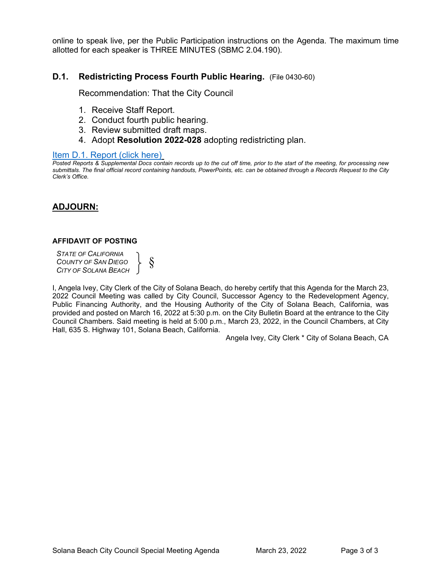online to speak live, per the Public Participation instructions on the Agenda. The maximum time allotted for each speaker is THREE MINUTES (SBMC 2.04.190).

### **D.1. Redistricting Process Fourth Public Hearing.** (File 0430-60)

Recommendation: That the City Council

- 1. Receive Staff Report.
- 2. Conduct fourth public hearing.
- 3. Review submitted draft maps.
- 4. Adopt **Resolution 2022-028** adopting redistricting plan.

#### Item D.1. Report (click here)

*[Posted Reports & Supplemental Docs contain records up to the cut off time, prior to the start of the meeting, for processing new](#page-3-0)  submittals. The final official record containing handouts, PowerPoints, etc. can be obtained through a Records Request to the City Clerk's Office.*

## **ADJOURN:**

#### **AFFIDAVIT OF POSTING**

*STATE OF CALIFORNIA COUNTY OF SAN DIEGO CITY OF SOLANA BEACH*  $\begin{matrix} \end{matrix}$   $\begin{matrix} \S \end{matrix}$ 

I, Angela Ivey, City Clerk of the City of Solana Beach, do hereby certify that this Agenda for the March 23, 2022 Council Meeting was called by City Council, Successor Agency to the Redevelopment Agency, Public Financing Authority, and the Housing Authority of the City of Solana Beach, California, was provided and posted on March 16, 2022 at 5:30 p.m. on the City Bulletin Board at the entrance to the City Council Chambers. Said meeting is held at 5:00 p.m., March 23, 2022, in the Council Chambers, at City Hall, 635 S. Highway 101, Solana Beach, California.

Angela Ivey, City Clerk \* City of Solana Beach, CA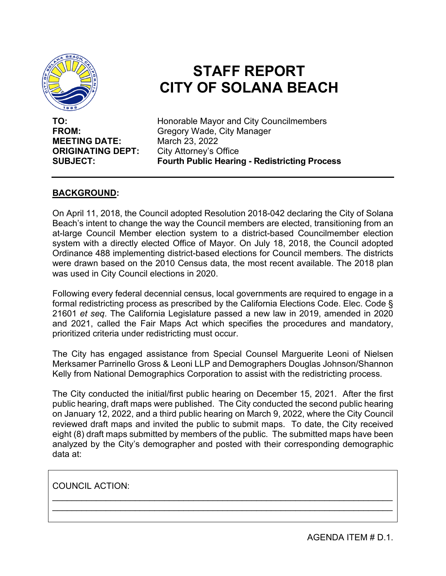<span id="page-3-0"></span>

# **STAFF REPORT CITY OF SOLANA BEACH**

**MEETING DATE: ORIGINATING DEPT:** City Attorney's Office

**TO:** Honorable Mayor and City Councilmembers **FROM:** Gregory Wade, City Manager<br> **MEETING DATE:** March 23, 2022 **SUBJECT: Fourth Public Hearing - Redistricting Process** 

## **BACKGROUND:**

On April 11, 2018, the Council adopted Resolution 2018-042 declaring the City of Solana Beach's intent to change the way the Council members are elected, transitioning from an at-large Council Member election system to a district-based Councilmember election system with a directly elected Office of Mayor. On July 18, 2018, the Council adopted Ordinance 488 implementing district-based elections for Council members. The districts were drawn based on the 2010 Census data, the most recent available. The 2018 plan was used in City Council elections in 2020.

Following every federal decennial census, local governments are required to engage in a formal redistricting process as prescribed by the California Elections Code. Elec. Code § 21601 *et seq*. The California Legislature passed a new law in 2019, amended in 2020 and 2021, called the Fair Maps Act which specifies the procedures and mandatory, prioritized criteria under redistricting must occur.

The City has engaged assistance from Special Counsel Marguerite Leoni of Nielsen Merksamer Parrinello Gross & Leoni LLP and Demographers Douglas Johnson/Shannon Kelly from National Demographics Corporation to assist with the redistricting process.

The City conducted the initial/first public hearing on December 15, 2021. After the first public hearing, draft maps were published. The City conducted the second public hearing on January 12, 2022, and a third public hearing on March 9, 2022, where the City Council reviewed draft maps and invited the public to submit maps. To date, the City received eight (8) draft maps submitted by members of the public. The submitted maps have been analyzed by the City's demographer and posted with their corresponding demographic data at:

\_\_\_\_\_\_\_\_\_\_\_\_\_\_\_\_\_\_\_\_\_\_\_\_\_\_\_\_\_\_\_\_\_\_\_\_\_\_\_\_\_\_\_\_\_\_\_\_\_\_\_\_\_\_\_\_\_\_\_\_\_\_\_\_\_\_\_\_\_\_ \_\_\_\_\_\_\_\_\_\_\_\_\_\_\_\_\_\_\_\_\_\_\_\_\_\_\_\_\_\_\_\_\_\_\_\_\_\_\_\_\_\_\_\_\_\_\_\_\_\_\_\_\_\_\_\_\_\_\_\_\_\_\_\_\_\_\_\_\_\_

COUNCIL ACTION:

AGENDA ITEM # D.1.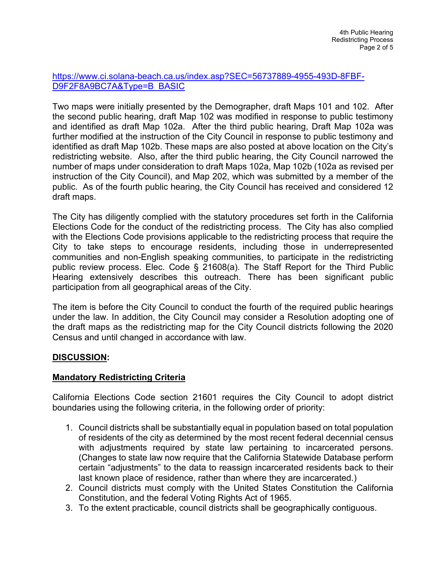## [https://www.ci.solana-beach.ca.us/index.asp?SEC=56737889-4955-493D-8FBF-](https://www.ci.solana-beach.ca.us/index.asp?SEC=56737889-4955-493D-8FBF-D9F2F8A9BC7A&Type=B_BASIC)[D9F2F8A9BC7A&Type=B\\_BASIC](https://www.ci.solana-beach.ca.us/index.asp?SEC=56737889-4955-493D-8FBF-D9F2F8A9BC7A&Type=B_BASIC)

Two maps were initially presented by the Demographer, draft Maps 101 and 102. After the second public hearing, draft Map 102 was modified in response to public testimony and identified as draft Map 102a. After the third public hearing, Draft Map 102a was further modified at the instruction of the City Council in response to public testimony and identified as draft Map 102b. These maps are also posted at above location on the City's redistricting website. Also, after the third public hearing, the City Council narrowed the number of maps under consideration to draft Maps 102a, Map 102b (102a as revised per instruction of the City Council), and Map 202, which was submitted by a member of the public. As of the fourth public hearing, the City Council has received and considered 12 draft maps.

The City has diligently complied with the statutory procedures set forth in the California Elections Code for the conduct of the redistricting process. The City has also complied with the Elections Code provisions applicable to the redistricting process that require the City to take steps to encourage residents, including those in underrepresented communities and non-English speaking communities, to participate in the redistricting public review process. Elec. Code § 21608(a). The Staff Report for the Third Public Hearing extensively describes this outreach. There has been significant public participation from all geographical areas of the City.

The item is before the City Council to conduct the fourth of the required public hearings under the law. In addition, the City Council may consider a Resolution adopting one of the draft maps as the redistricting map for the City Council districts following the 2020 Census and until changed in accordance with law.

## **DISCUSSION:**

## **Mandatory Redistricting Criteria**

California Elections Code section 21601 requires the City Council to adopt district boundaries using the following criteria, in the following order of priority:

- 1. Council districts shall be substantially equal in population based on total population of residents of the city as determined by the most recent federal decennial census with adjustments required by state law pertaining to incarcerated persons. (Changes to state law now require that the California Statewide Database perform certain "adjustments" to the data to reassign incarcerated residents back to their last known place of residence, rather than where they are incarcerated.)
- 2. Council districts must comply with the United States Constitution the California Constitution, and the federal Voting Rights Act of 1965.
- 3. To the extent practicable, council districts shall be geographically contiguous.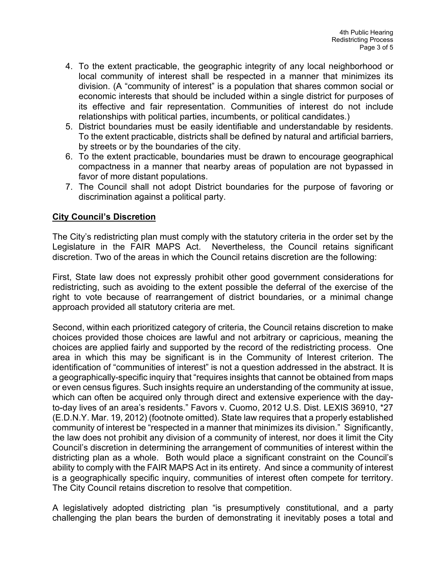- 4. To the extent practicable, the geographic integrity of any local neighborhood or local community of interest shall be respected in a manner that minimizes its division. (A "community of interest" is a population that shares common social or economic interests that should be included within a single district for purposes of its effective and fair representation. Communities of interest do not include relationships with political parties, incumbents, or political candidates.)
- 5. District boundaries must be easily identifiable and understandable by residents. To the extent practicable, districts shall be defined by natural and artificial barriers, by streets or by the boundaries of the city.
- 6. To the extent practicable, boundaries must be drawn to encourage geographical compactness in a manner that nearby areas of population are not bypassed in favor of more distant populations.
- 7. The Council shall not adopt District boundaries for the purpose of favoring or discrimination against a political party.

## **City Council's Discretion**

The City's redistricting plan must comply with the statutory criteria in the order set by the Legislature in the FAIR MAPS Act. Nevertheless, the Council retains significant discretion. Two of the areas in which the Council retains discretion are the following:

First, State law does not expressly prohibit other good government considerations for redistricting, such as avoiding to the extent possible the deferral of the exercise of the right to vote because of rearrangement of district boundaries, or a minimal change approach provided all statutory criteria are met.

Second, within each prioritized category of criteria, the Council retains discretion to make choices provided those choices are lawful and not arbitrary or capricious, meaning the choices are applied fairly and supported by the record of the redistricting process. One area in which this may be significant is in the Community of Interest criterion. The identification of "communities of interest" is not a question addressed in the abstract. It is a geographically-specific inquiry that "requires insights that cannot be obtained from maps or even census figures. Such insights require an understanding of the community at issue, which can often be acquired only through direct and extensive experience with the dayto-day lives of an area's residents." Favors v. Cuomo, 2012 U.S. Dist. LEXIS 36910, \*27 (E.D.N.Y. Mar. 19, 2012) (footnote omitted). State law requires that a properly established community of interest be "respected in a manner that minimizes its division." Significantly, the law does not prohibit any division of a community of interest, nor does it limit the City Council's discretion in determining the arrangement of communities of interest within the districting plan as a whole. Both would place a significant constraint on the Council's ability to comply with the FAIR MAPS Act in its entirety. And since a community of interest is a geographically specific inquiry, communities of interest often compete for territory. The City Council retains discretion to resolve that competition.

A legislatively adopted districting plan "is presumptively constitutional, and a party challenging the plan bears the burden of demonstrating it inevitably poses a total and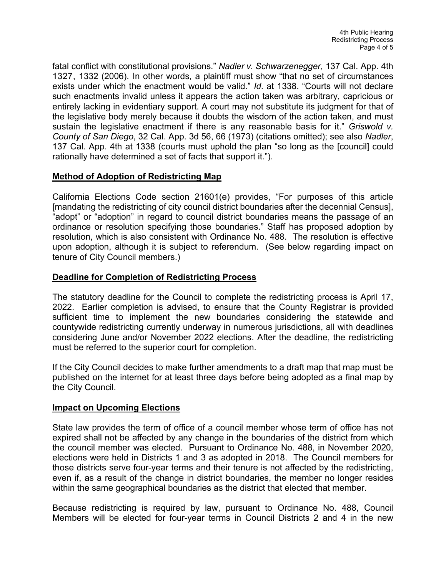fatal conflict with constitutional provisions." *Nadler v. Schwarzenegger*, 137 Cal. App. 4th 1327, 1332 (2006). In other words, a plaintiff must show "that no set of circumstances exists under which the enactment would be valid." *Id*. at 1338. "Courts will not declare such enactments invalid unless it appears the action taken was arbitrary, capricious or entirely lacking in evidentiary support. A court may not substitute its judgment for that of the legislative body merely because it doubts the wisdom of the action taken, and must sustain the legislative enactment if there is any reasonable basis for it." *Griswold v. County of San Diego*, 32 Cal. App. 3d 56, 66 (1973) (citations omitted); see also *Nadler*, 137 Cal. App. 4th at 1338 (courts must uphold the plan "so long as the [council] could rationally have determined a set of facts that support it.").

## **Method of Adoption of Redistricting Map**

California Elections Code section 21601(e) provides, "For purposes of this article [mandating the redistricting of city council district boundaries after the decennial Census], "adopt" or "adoption" in regard to council district boundaries means the passage of an ordinance or resolution specifying those boundaries." Staff has proposed adoption by resolution, which is also consistent with Ordinance No. 488. The resolution is effective upon adoption, although it is subject to referendum. (See below regarding impact on tenure of City Council members.)

## **Deadline for Completion of Redistricting Process**

The statutory deadline for the Council to complete the redistricting process is April 17, 2022. Earlier completion is advised, to ensure that the County Registrar is provided sufficient time to implement the new boundaries considering the statewide and countywide redistricting currently underway in numerous jurisdictions, all with deadlines considering June and/or November 2022 elections. After the deadline, the redistricting must be referred to the superior court for completion.

If the City Council decides to make further amendments to a draft map that map must be published on the internet for at least three days before being adopted as a final map by the City Council.

## **Impact on Upcoming Elections**

State law provides the term of office of a council member whose term of office has not expired shall not be affected by any change in the boundaries of the district from which the council member was elected. Pursuant to Ordinance No. 488, in November 2020, elections were held in Districts 1 and 3 as adopted in 2018. The Council members for those districts serve four-year terms and their tenure is not affected by the redistricting, even if, as a result of the change in district boundaries, the member no longer resides within the same geographical boundaries as the district that elected that member.

Because redistricting is required by law, pursuant to Ordinance No. 488, Council Members will be elected for four-year terms in Council Districts 2 and 4 in the new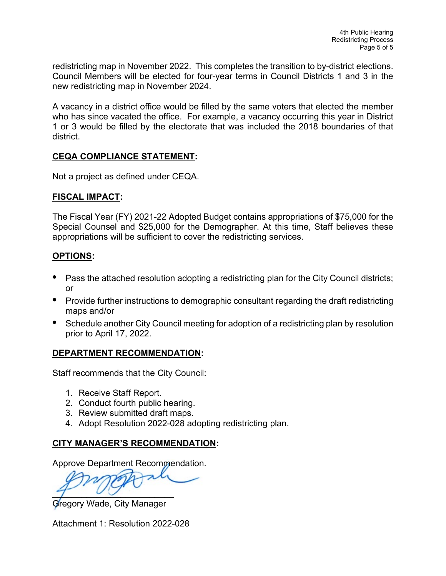redistricting map in November 2022. This completes the transition to by-district elections. Council Members will be elected for four-year terms in Council Districts 1 and 3 in the new redistricting map in November 2024.

A vacancy in a district office would be filled by the same voters that elected the member who has since vacated the office. For example, a vacancy occurring this year in District 1 or 3 would be filled by the electorate that was included the 2018 boundaries of that district.

## **CEQA COMPLIANCE STATEMENT:**

Not a project as defined under CEQA.

## **FISCAL IMPACT:**

The Fiscal Year (FY) 2021-22 Adopted Budget contains appropriations of \$75,000 for the Special Counsel and \$25,000 for the Demographer. At this time, Staff believes these appropriations will be sufficient to cover the redistricting services.

## **OPTIONS:**

- **•** Pass the attached resolution adopting a redistricting plan for the City Council districts; or
- Provide further instructions to demographic consultant regarding the draft redistricting maps and/or
- **•** Schedule another City Council meeting for adoption of a redistricting plan by resolution prior to April 17, 2022.

## **DEPARTMENT RECOMMENDATION:**

Staff recommends that the City Council:

- 1. Receive Staff Report.
- 2. Conduct fourth public hearing.
- 3. Review submitted draft maps.
- 4. Adopt Resolution 2022-028 adopting redistricting plan.

## **CITY MANAGER'S RECOMMENDATION:**

Approve Department Recommendation.

 $7\quad$ 

Gregory Wade, City Manager

Attachment 1: Resolution 2022-028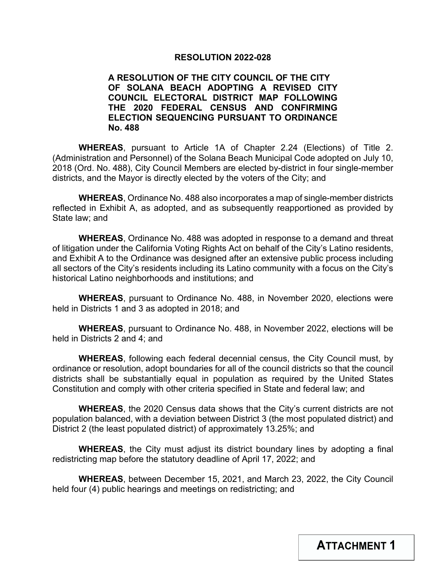#### **RESOLUTION 2022-028**

### **A RESOLUTION OF THE CITY COUNCIL OF THE CITY OF SOLANA BEACH ADOPTING A REVISED CITY COUNCIL ELECTORAL DISTRICT MAP FOLLOWING THE 2020 FEDERAL CENSUS AND CONFIRMING ELECTION SEQUENCING PURSUANT TO ORDINANCE No. 488**

**WHEREAS**, pursuant to Article 1A of Chapter 2.24 (Elections) of Title 2. (Administration and Personnel) of the Solana Beach Municipal Code adopted on July 10, 2018 (Ord. No. 488), City Council Members are elected by-district in four single-member districts, and the Mayor is directly elected by the voters of the City; and

**WHEREAS**, Ordinance No. 488 also incorporates a map of single-member districts reflected in Exhibit A, as adopted, and as subsequently reapportioned as provided by State law; and

**WHEREAS**, Ordinance No. 488 was adopted in response to a demand and threat of litigation under the California Voting Rights Act on behalf of the City's Latino residents, and Exhibit A to the Ordinance was designed after an extensive public process including all sectors of the City's residents including its Latino community with a focus on the City's historical Latino neighborhoods and institutions; and

**WHEREAS**, pursuant to Ordinance No. 488, in November 2020, elections were held in Districts 1 and 3 as adopted in 2018; and

**WHEREAS**, pursuant to Ordinance No. 488, in November 2022, elections will be held in Districts 2 and 4; and

**WHEREAS**, following each federal decennial census, the City Council must, by ordinance or resolution, adopt boundaries for all of the council districts so that the council districts shall be substantially equal in population as required by the United States Constitution and comply with other criteria specified in State and federal law; and

**WHEREAS**, the 2020 Census data shows that the City's current districts are not population balanced, with a deviation between District 3 (the most populated district) and District 2 (the least populated district) of approximately 13.25%; and

**WHEREAS**, the City must adjust its district boundary lines by adopting a final redistricting map before the statutory deadline of April 17, 2022; and

**WHEREAS**, between December 15, 2021, and March 23, 2022, the City Council held four (4) public hearings and meetings on redistricting; and

**ATTACHMENT 1**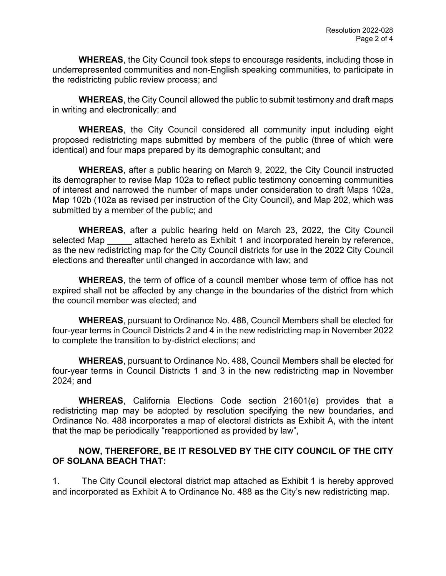**WHEREAS**, the City Council took steps to encourage residents, including those in underrepresented communities and non-English speaking communities, to participate in the redistricting public review process; and

**WHEREAS**, the City Council allowed the public to submit testimony and draft maps in writing and electronically; and

**WHEREAS**, the City Council considered all community input including eight proposed redistricting maps submitted by members of the public (three of which were identical) and four maps prepared by its demographic consultant; and

**WHEREAS**, after a public hearing on March 9, 2022, the City Council instructed its demographer to revise Map 102a to reflect public testimony concerning communities of interest and narrowed the number of maps under consideration to draft Maps 102a, Map 102b (102a as revised per instruction of the City Council), and Map 202, which was submitted by a member of the public; and

**WHEREAS**, after a public hearing held on March 23, 2022, the City Council selected Map attached hereto as Exhibit 1 and incorporated herein by reference, as the new redistricting map for the City Council districts for use in the 2022 City Council elections and thereafter until changed in accordance with law; and

**WHEREAS**, the term of office of a council member whose term of office has not expired shall not be affected by any change in the boundaries of the district from which the council member was elected; and

**WHEREAS**, pursuant to Ordinance No. 488, Council Members shall be elected for four-year terms in Council Districts 2 and 4 in the new redistricting map in November 2022 to complete the transition to by-district elections; and

**WHEREAS**, pursuant to Ordinance No. 488, Council Members shall be elected for four-year terms in Council Districts 1 and 3 in the new redistricting map in November 2024; and

**WHEREAS**, California Elections Code section 21601(e) provides that a redistricting map may be adopted by resolution specifying the new boundaries, and Ordinance No. 488 incorporates a map of electoral districts as Exhibit A, with the intent that the map be periodically "reapportioned as provided by law",

## **NOW, THEREFORE, BE IT RESOLVED BY THE CITY COUNCIL OF THE CITY OF SOLANA BEACH THAT:**

1. The City Council electoral district map attached as Exhibit 1 is hereby approved and incorporated as Exhibit A to Ordinance No. 488 as the City's new redistricting map.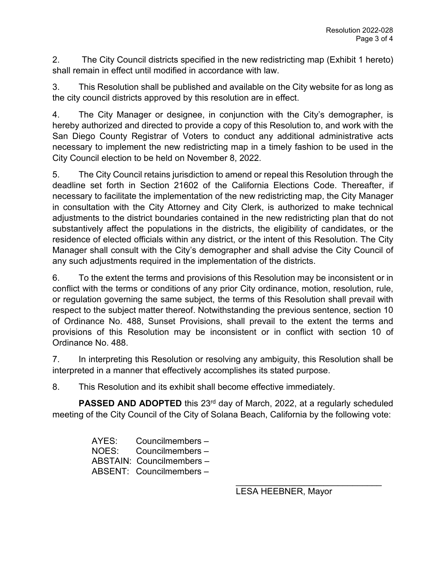2. The City Council districts specified in the new redistricting map (Exhibit 1 hereto) shall remain in effect until modified in accordance with law.

3. This Resolution shall be published and available on the City website for as long as the city council districts approved by this resolution are in effect.

4. The City Manager or designee, in conjunction with the City's demographer, is hereby authorized and directed to provide a copy of this Resolution to, and work with the San Diego County Registrar of Voters to conduct any additional administrative acts necessary to implement the new redistricting map in a timely fashion to be used in the City Council election to be held on November 8, 2022.

5. The City Council retains jurisdiction to amend or repeal this Resolution through the deadline set forth in Section 21602 of the California Elections Code. Thereafter, if necessary to facilitate the implementation of the new redistricting map, the City Manager in consultation with the City Attorney and City Clerk, is authorized to make technical adjustments to the district boundaries contained in the new redistricting plan that do not substantively affect the populations in the districts, the eligibility of candidates, or the residence of elected officials within any district, or the intent of this Resolution. The City Manager shall consult with the City's demographer and shall advise the City Council of any such adjustments required in the implementation of the districts.

6. To the extent the terms and provisions of this Resolution may be inconsistent or in conflict with the terms or conditions of any prior City ordinance, motion, resolution, rule, or regulation governing the same subject, the terms of this Resolution shall prevail with respect to the subject matter thereof. Notwithstanding the previous sentence, section 10 of Ordinance No. 488, Sunset Provisions, shall prevail to the extent the terms and provisions of this Resolution may be inconsistent or in conflict with section 10 of Ordinance No. 488.

7. In interpreting this Resolution or resolving any ambiguity, this Resolution shall be interpreted in a manner that effectively accomplishes its stated purpose.

8. This Resolution and its exhibit shall become effective immediately.

**PASSED AND ADOPTED** this 23<sup>rd</sup> day of March, 2022, at a regularly scheduled meeting of the City Council of the City of Solana Beach, California by the following vote:

> AYES: Councilmembers – NOES: Councilmembers – ABSTAIN: Councilmembers – ABSENT: Councilmembers –

> > \_\_\_\_\_\_\_\_\_\_\_\_\_\_\_\_\_\_\_\_\_\_\_\_\_\_\_\_\_\_ LESA HEEBNER, Mayor